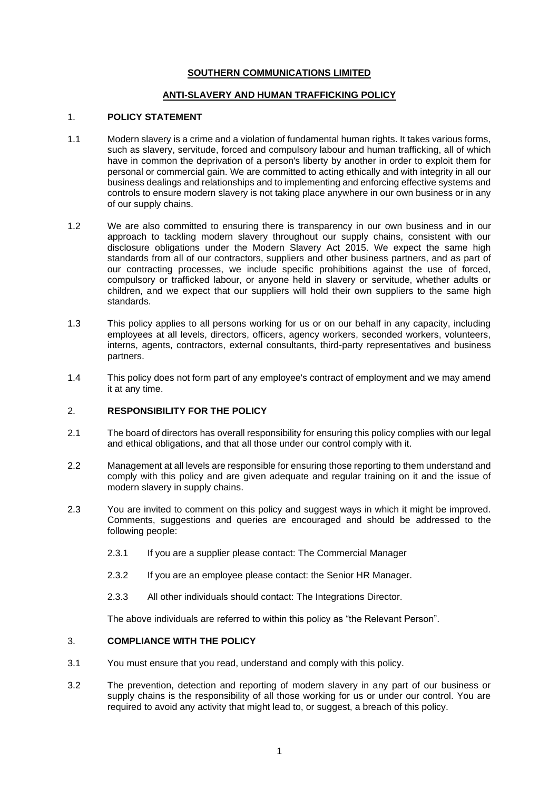# **SOUTHERN COMMUNICATIONS LIMITED**

# **ANTI-SLAVERY AND HUMAN TRAFFICKING POLICY**

# 1. **POLICY STATEMENT**

- 1.1 Modern slavery is a crime and a violation of fundamental human rights. It takes various forms, such as slavery, servitude, forced and compulsory labour and human trafficking, all of which have in common the deprivation of a person's liberty by another in order to exploit them for personal or commercial gain. We are committed to acting ethically and with integrity in all our business dealings and relationships and to implementing and enforcing effective systems and controls to ensure modern slavery is not taking place anywhere in our own business or in any of our supply chains.
- 1.2 We are also committed to ensuring there is transparency in our own business and in our approach to tackling modern slavery throughout our supply chains, consistent with our disclosure obligations under the Modern Slavery Act 2015. We expect the same high standards from all of our contractors, suppliers and other business partners, and as part of our contracting processes, we include specific prohibitions against the use of forced, compulsory or trafficked labour, or anyone held in slavery or servitude, whether adults or children, and we expect that our suppliers will hold their own suppliers to the same high standards.
- 1.3 This policy applies to all persons working for us or on our behalf in any capacity, including employees at all levels, directors, officers, agency workers, seconded workers, volunteers, interns, agents, contractors, external consultants, third-party representatives and business partners.
- 1.4 This policy does not form part of any employee's contract of employment and we may amend it at any time.

#### 2. **RESPONSIBILITY FOR THE POLICY**

- 2.1 The board of directors has overall responsibility for ensuring this policy complies with our legal and ethical obligations, and that all those under our control comply with it.
- 2.2 Management at all levels are responsible for ensuring those reporting to them understand and comply with this policy and are given adequate and regular training on it and the issue of modern slavery in supply chains.
- 2.3 You are invited to comment on this policy and suggest ways in which it might be improved. Comments, suggestions and queries are encouraged and should be addressed to the following people:
	- 2.3.1 If you are a supplier please contact: The Commercial Manager
	- 2.3.2 If you are an employee please contact: the Senior HR Manager.
	- 2.3.3 All other individuals should contact: The Integrations Director.

The above individuals are referred to within this policy as "the Relevant Person".

# 3. **COMPLIANCE WITH THE POLICY**

- 3.1 You must ensure that you read, understand and comply with this policy.
- 3.2 The prevention, detection and reporting of modern slavery in any part of our business or supply chains is the responsibility of all those working for us or under our control. You are required to avoid any activity that might lead to, or suggest, a breach of this policy.